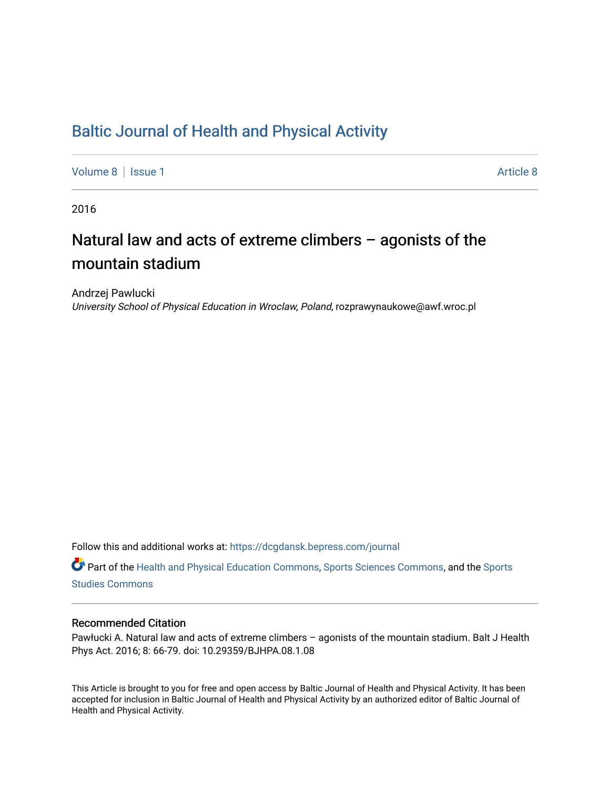# [Baltic Journal of Health and Physical Activity](https://dcgdansk.bepress.com/journal)

[Volume 8](https://dcgdansk.bepress.com/journal/vol8) | [Issue 1](https://dcgdansk.bepress.com/journal/vol8/iss1) [Article 8](https://dcgdansk.bepress.com/journal/vol8/iss1/8) | Article 8 | Article 8 | Article 8 | Article 8 | Article 8 | Article 8 | Article 8 | Article 8 | Article 8 | Article 8 | Article 8 | Article 8 | Article 8 | Article 8 | Article 8 | Article 8 |

2016

# Natural law and acts of extreme climbers – agonists of the mountain stadium

Andrzej Pawlucki University School of Physical Education in Wroclaw, Poland, rozprawynaukowe@awf.wroc.pl

Follow this and additional works at: [https://dcgdansk.bepress.com/journal](https://dcgdansk.bepress.com/journal?utm_source=dcgdansk.bepress.com%2Fjournal%2Fvol8%2Fiss1%2F8&utm_medium=PDF&utm_campaign=PDFCoverPages)

Part of the [Health and Physical Education Commons](http://network.bepress.com/hgg/discipline/1327?utm_source=dcgdansk.bepress.com%2Fjournal%2Fvol8%2Fiss1%2F8&utm_medium=PDF&utm_campaign=PDFCoverPages), [Sports Sciences Commons](http://network.bepress.com/hgg/discipline/759?utm_source=dcgdansk.bepress.com%2Fjournal%2Fvol8%2Fiss1%2F8&utm_medium=PDF&utm_campaign=PDFCoverPages), and the [Sports](http://network.bepress.com/hgg/discipline/1198?utm_source=dcgdansk.bepress.com%2Fjournal%2Fvol8%2Fiss1%2F8&utm_medium=PDF&utm_campaign=PDFCoverPages)  [Studies Commons](http://network.bepress.com/hgg/discipline/1198?utm_source=dcgdansk.bepress.com%2Fjournal%2Fvol8%2Fiss1%2F8&utm_medium=PDF&utm_campaign=PDFCoverPages) 

#### Recommended Citation

Pawłucki A. Natural law and acts of extreme climbers – agonists of the mountain stadium. Balt J Health Phys Act. 2016; 8: 66-79. doi: 10.29359/BJHPA.08.1.08

This Article is brought to you for free and open access by Baltic Journal of Health and Physical Activity. It has been accepted for inclusion in Baltic Journal of Health and Physical Activity by an authorized editor of Baltic Journal of Health and Physical Activity.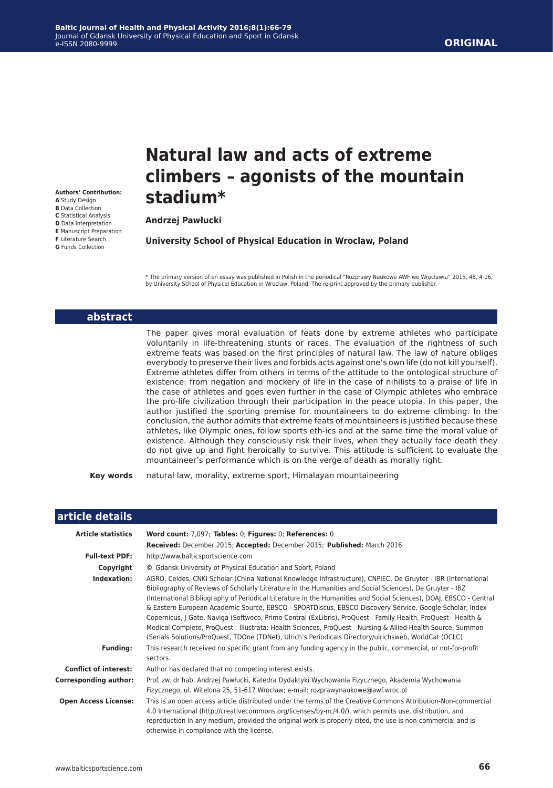#### **ORIGINAL**

**Authors' Contribution: A** Study Design **B** Data Collection **C** Statistical Analysis **D** Data Interpretation **E** Manuscript Preparation **F** Literature Search

**G** Funds Collection

# **Natural law and acts of extreme climbers – agonists of the mountain stadium\***

**Andrzej Pawłucki**

**University School of Physical Education in Wroclaw, Poland**

\* The primary version of en essay was published in Polish in the periodical "Rozprawy Naukowe AWF we Wrocławiu" 2015, 48, 4-16, by University School of Physical Education in Wroclaw, Poland. The re-print approved by the primary publisher.

#### **abstract**

The paper gives moral evaluation of feats done by extreme athletes who participate voluntarily in life-threatening stunts or races. The evaluation of the rightness of such extreme feats was based on the first principles of natural law. The law of nature obliges everybody to preserve their lives and forbids acts against one's own life (do not kill yourself). Extreme athletes differ from others in terms of the attitude to the ontological structure of existence: from negation and mockery of life in the case of nihilists to a praise of life in the case of athletes and goes even further in the case of Olympic athletes who embrace the pro-life civilization through their participation in the peace utopia. In this paper, the author justified the sporting premise for mountaineers to do extreme climbing. In the conclusion, the author admits that extreme feats of mountaineers is justified because these athletes, like Olympic ones, follow sports eth-ics and at the same time the moral value of existence. Although they consciously risk their lives, when they actually face death they do not give up and fight heroically to survive. This attitude is sufficient to evaluate the mountaineer's performance which is on the verge of death as morally right.

**Key words** natural law, morality, extreme sport, Himalayan mountaineering

| article details              |                                                                                                                                                                                                                                                                                                                                                                                                                                                                                                                                                                                                                                                                                                                                                                                                      |
|------------------------------|------------------------------------------------------------------------------------------------------------------------------------------------------------------------------------------------------------------------------------------------------------------------------------------------------------------------------------------------------------------------------------------------------------------------------------------------------------------------------------------------------------------------------------------------------------------------------------------------------------------------------------------------------------------------------------------------------------------------------------------------------------------------------------------------------|
| <b>Article statistics</b>    | Word count: 7,097; Tables: 0; Figures: 0; References: 0                                                                                                                                                                                                                                                                                                                                                                                                                                                                                                                                                                                                                                                                                                                                              |
|                              | Received: December 2015; Accepted: December 2015; Published: March 2016                                                                                                                                                                                                                                                                                                                                                                                                                                                                                                                                                                                                                                                                                                                              |
| <b>Full-text PDF:</b>        | http://www.balticsportscience.com                                                                                                                                                                                                                                                                                                                                                                                                                                                                                                                                                                                                                                                                                                                                                                    |
| Copyright                    | © Gdansk University of Physical Education and Sport, Poland                                                                                                                                                                                                                                                                                                                                                                                                                                                                                                                                                                                                                                                                                                                                          |
| Indexation:                  | AGRO, Celdes, CNKI Scholar (China National Knowledge Infrastructure), CNPIEC, De Gruyter - IBR (International<br>Bibliography of Reviews of Scholarly Literature in the Humanities and Social Sciences), De Gruyter - IBZ<br>(International Bibliography of Periodical Literature in the Humanities and Social Sciences), DOAJ, EBSCO - Central<br>& Eastern European Academic Source, EBSCO - SPORTDiscus, EBSCO Discovery Service, Google Scholar, Index<br>Copernicus, J-Gate, Naviga (Softweco, Primo Central (ExLibris), ProQuest - Family Health, ProQuest - Health &<br>Medical Complete, ProQuest - Illustrata: Health Sciences, ProQuest - Nursing & Allied Health Source, Summon<br>(Serials Solutions/ProQuest, TDOne (TDNet), Ulrich's Periodicals Directory/ulrichsweb, WorldCat (OCLC) |
| <b>Funding:</b>              | This research received no specific grant from any funding agency in the public, commercial, or not-for-profit<br>sectors.                                                                                                                                                                                                                                                                                                                                                                                                                                                                                                                                                                                                                                                                            |
| <b>Conflict of interest:</b> | Author has declared that no competing interest exists.                                                                                                                                                                                                                                                                                                                                                                                                                                                                                                                                                                                                                                                                                                                                               |
| <b>Corresponding author:</b> | Prof. zw. dr hab. Andrzej Pawłucki, Katedra Dydaktyki Wychowania Fizycznego, Akademia Wychowania<br>Fizycznego, ul. Witelona 25, 51-617 Wrocław; e-mail: rozprawynaukowe@awf.wroc.pl                                                                                                                                                                                                                                                                                                                                                                                                                                                                                                                                                                                                                 |
| <b>Open Access License:</b>  | This is an open access article distributed under the terms of the Creative Commons Attribution-Non-commercial<br>4.0 International (http://creativecommons.org/licenses/by-nc/4.0/), which permits use, distribution, and<br>reproduction in any medium, provided the original work is properly cited, the use is non-commercial and is<br>otherwise in compliance with the license.                                                                                                                                                                                                                                                                                                                                                                                                                 |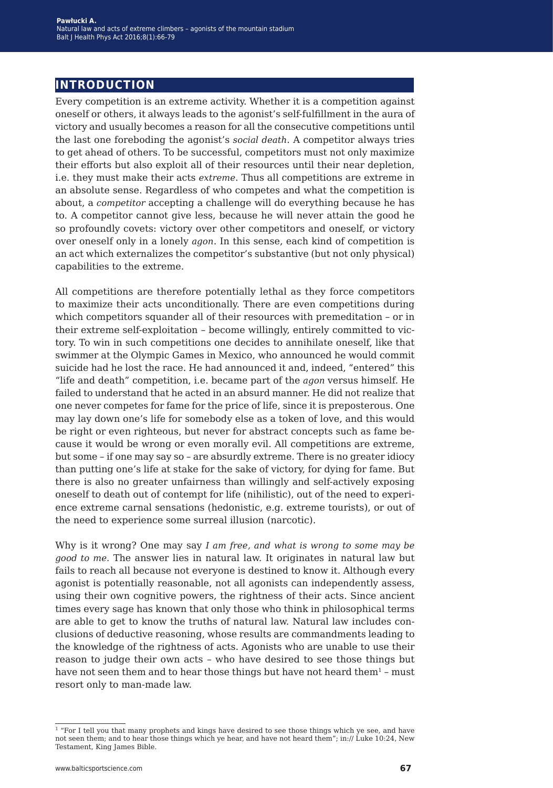## **introduction**

Every competition is an extreme activity. Whether it is a competition against oneself or others, it always leads to the agonist's self-fulfillment in the aura of victory and usually becomes a reason for all the consecutive competitions until the last one foreboding the agonist's *social death*. A competitor always tries to get ahead of others. To be successful, competitors must not only maximize their efforts but also exploit all of their resources until their near depletion, i.e. they must make their acts *extreme*. Thus all competitions are extreme in an absolute sense. Regardless of who competes and what the competition is about, a *competitor* accepting a challenge will do everything because he has to. A competitor cannot give less, because he will never attain the good he so profoundly covets: victory over other competitors and oneself, or victory over oneself only in a lonely *agon*. In this sense, each kind of competition is an act which externalizes the competitor's substantive (but not only physical) capabilities to the extreme.

All competitions are therefore potentially lethal as they force competitors to maximize their acts unconditionally. There are even competitions during which competitors squander all of their resources with premeditation – or in their extreme self-exploitation – become willingly, entirely committed to victory. To win in such competitions one decides to annihilate oneself, like that swimmer at the Olympic Games in Mexico, who announced he would commit suicide had he lost the race. He had announced it and, indeed, "entered" this "life and death" competition, i.e. became part of the *agon* versus himself. He failed to understand that he acted in an absurd manner. He did not realize that one never competes for fame for the price of life, since it is preposterous. One may lay down one's life for somebody else as a token of love, and this would be right or even righteous, but never for abstract concepts such as fame because it would be wrong or even morally evil. All competitions are extreme, but some – if one may say so – are absurdly extreme. There is no greater idiocy than putting one's life at stake for the sake of victory, for dying for fame. But there is also no greater unfairness than willingly and self-actively exposing oneself to death out of contempt for life (nihilistic), out of the need to experience extreme carnal sensations (hedonistic, e.g. extreme tourists), or out of the need to experience some surreal illusion (narcotic).

Why is it wrong? One may say *I am free, and what is wrong to some may be good to me.* The answer lies in natural law. It originates in natural law but fails to reach all because not everyone is destined to know it. Although every agonist is potentially reasonable, not all agonists can independently assess, using their own cognitive powers, the rightness of their acts. Since ancient times every sage has known that only those who think in philosophical terms are able to get to know the truths of natural law. Natural law includes conclusions of deductive reasoning, whose results are commandments leading to the knowledge of the rightness of acts. Agonists who are unable to use their reason to judge their own acts – who have desired to see those things but have not seen them and to hear those things but have not heard them<sup>1</sup> - must resort only to man-made law.

<sup>&</sup>lt;sup>1</sup> "For I tell you that many prophets and kings have desired to see those things which ye see, and have not seen them; and to hear those things which ye hear, and have not heard them"; in:// Luke 10:24, New Testament, King James Bible.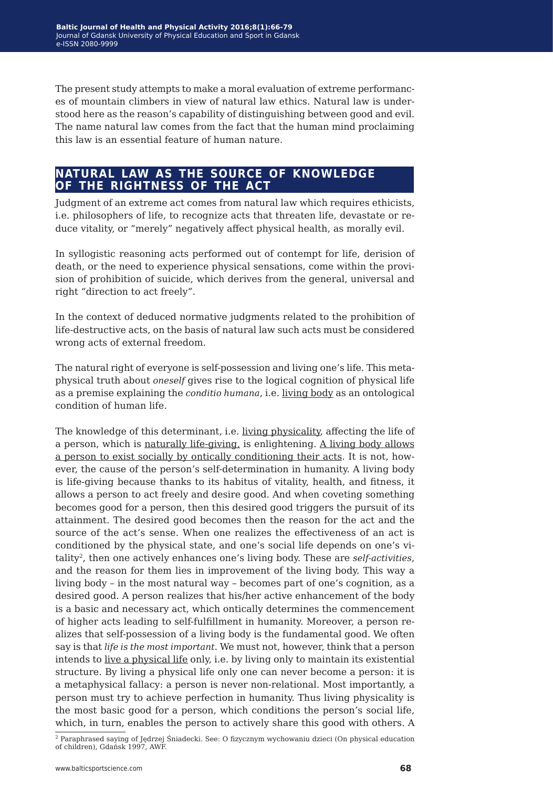The present study attempts to make a moral evaluation of extreme performances of mountain climbers in view of natural law ethics. Natural law is understood here as the reason's capability of distinguishing between good and evil. The name natural law comes from the fact that the human mind proclaiming this law is an essential feature of human nature.

# **natural law as the source of knowledge of the rightness of the act**

Judgment of an extreme act comes from natural law which requires ethicists, i.e. philosophers of life, to recognize acts that threaten life, devastate or reduce vitality, or "merely" negatively affect physical health, as morally evil.

In syllogistic reasoning acts performed out of contempt for life, derision of death, or the need to experience physical sensations, come within the provision of prohibition of suicide, which derives from the general, universal and right "direction to act freely".

In the context of deduced normative judgments related to the prohibition of life-destructive acts, on the basis of natural law such acts must be considered wrong acts of external freedom.

The natural right of everyone is self-possession and living one's life. This metaphysical truth about *oneself* gives rise to the logical cognition of physical life as a premise explaining the *conditio humana*, i.e. living body as an ontological condition of human life.

The knowledge of this determinant, i.e. living physicality, affecting the life of a person, which is naturally life-giving, is enlightening. A living body allows a person to exist socially by ontically conditioning their acts. It is not, however, the cause of the person's self-determination in humanity. A living body is life-giving because thanks to its habitus of vitality, health, and fitness, it allows a person to act freely and desire good. And when coveting something becomes good for a person, then this desired good triggers the pursuit of its attainment. The desired good becomes then the reason for the act and the source of the act's sense. When one realizes the effectiveness of an act is conditioned by the physical state, and one's social life depends on one's vitality2, then one actively enhances one's living body. These are *self-activities*, and the reason for them lies in improvement of the living body. This way a living body – in the most natural way – becomes part of one's cognition, as a desired good. A person realizes that his/her active enhancement of the body is a basic and necessary act, which ontically determines the commencement of higher acts leading to self-fulfillment in humanity. Moreover, a person realizes that self-possession of a living body is the fundamental good. We often say is that *life is the most important*. We must not, however, think that a person intends to live a physical life only, i.e. by living only to maintain its existential structure. By living a physical life only one can never become a person: it is a metaphysical fallacy: a person is never non-relational. Most importantly, a person must try to achieve perfection in humanity. Thus living physicality is the most basic good for a person, which conditions the person's social life, which, in turn, enables the person to actively share this good with others. A

<sup>2</sup> Paraphrased saying of Jędrzej Śniadecki. See: O fizycznym wychowaniu dzieci (On physical education of children), Gdańsk 1997, AWF.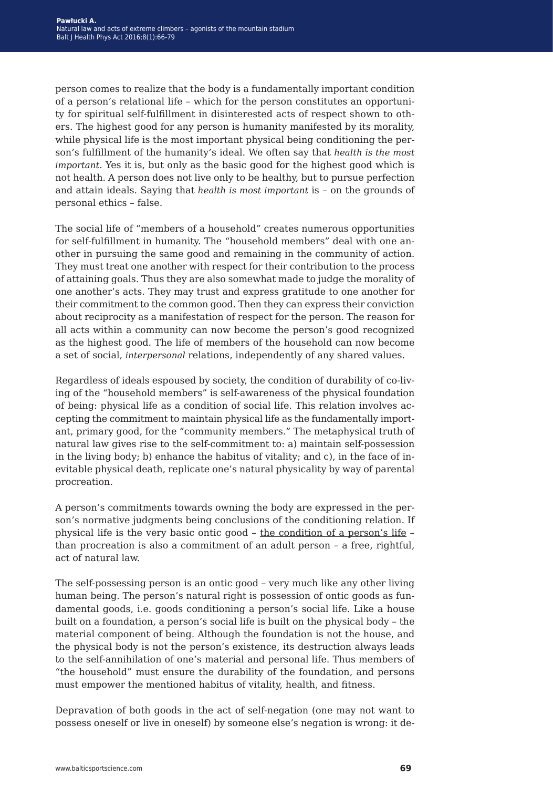person comes to realize that the body is a fundamentally important condition of a person's relational life – which for the person constitutes an opportunity for spiritual self-fulfillment in disinterested acts of respect shown to others. The highest good for any person is humanity manifested by its morality, while physical life is the most important physical being conditioning the person's fulfillment of the humanity's ideal. We often say that *health is the most important*. Yes it is, but only as the basic good for the highest good which is not health. A person does not live only to be healthy, but to pursue perfection and attain ideals. Saying that *health is most important* is – on the grounds of personal ethics – false.

The social life of "members of a household" creates numerous opportunities for self-fulfillment in humanity. The "household members" deal with one another in pursuing the same good and remaining in the community of action. They must treat one another with respect for their contribution to the process of attaining goals. Thus they are also somewhat made to judge the morality of one another's acts. They may trust and express gratitude to one another for their commitment to the common good. Then they can express their conviction about reciprocity as a manifestation of respect for the person. The reason for all acts within a community can now become the person's good recognized as the highest good. The life of members of the household can now become a set of social, *interpersonal* relations, independently of any shared values.

Regardless of ideals espoused by society, the condition of durability of co-living of the "household members" is self-awareness of the physical foundation of being: physical life as a condition of social life. This relation involves accepting the commitment to maintain physical life as the fundamentally important, primary good, for the "community members." The metaphysical truth of natural law gives rise to the self-commitment to: a) maintain self-possession in the living body; b) enhance the habitus of vitality; and c), in the face of inevitable physical death, replicate one's natural physicality by way of parental procreation.

A person's commitments towards owning the body are expressed in the person's normative judgments being conclusions of the conditioning relation. If physical life is the very basic ontic good – the condition of a person's life – than procreation is also a commitment of an adult person – a free, rightful, act of natural law.

The self-possessing person is an ontic good – very much like any other living human being. The person's natural right is possession of ontic goods as fundamental goods, i.e. goods conditioning a person's social life. Like a house built on a foundation, a person's social life is built on the physical body – the material component of being. Although the foundation is not the house, and the physical body is not the person's existence, its destruction always leads to the self-annihilation of one's material and personal life. Thus members of "the household" must ensure the durability of the foundation, and persons must empower the mentioned habitus of vitality, health, and fitness.

Depravation of both goods in the act of self-negation (one may not want to possess oneself or live in oneself) by someone else's negation is wrong: it de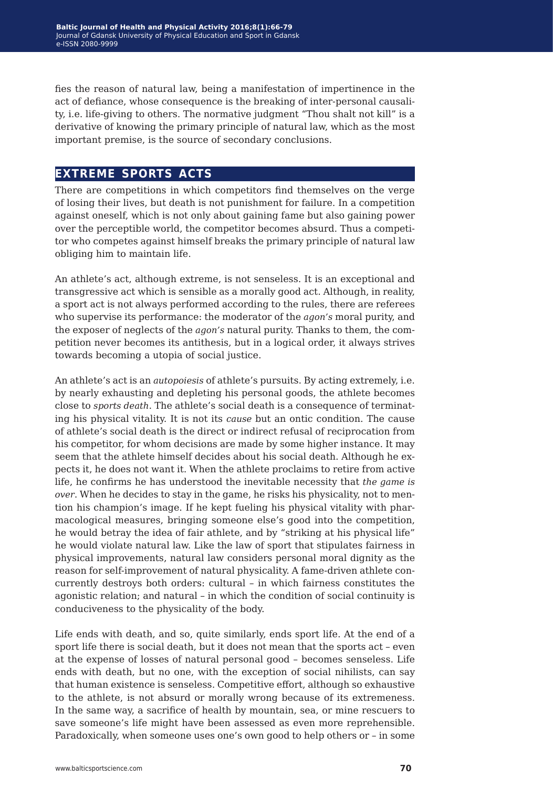fies the reason of natural law, being a manifestation of impertinence in the act of defiance, whose consequence is the breaking of inter-personal causality, i.e. life-giving to others. The normative judgment "Thou shalt not kill" is a derivative of knowing the primary principle of natural law, which as the most important premise, is the source of secondary conclusions.

## **extreme sports acts**

There are competitions in which competitors find themselves on the verge of losing their lives, but death is not punishment for failure. In a competition against oneself, which is not only about gaining fame but also gaining power over the perceptible world, the competitor becomes absurd. Thus a competitor who competes against himself breaks the primary principle of natural law obliging him to maintain life.

An athlete's act, although extreme, is not senseless. It is an exceptional and transgressive act which is sensible as a morally good act. Although, in reality, a sport act is not always performed according to the rules, there are referees who supervise its performance: the moderator of the *agon's* moral purity, and the exposer of neglects of the *agon's* natural purity. Thanks to them, the competition never becomes its antithesis, but in a logical order, it always strives towards becoming a utopia of social justice.

An athlete's act is an *autopoiesis* of athlete's pursuits. By acting extremely, i.e. by nearly exhausting and depleting his personal goods, the athlete becomes close to *sports death*. The athlete's social death is a consequence of terminating his physical vitality. It is not its *cause* but an ontic condition. The cause of athlete's social death is the direct or indirect refusal of reciprocation from his competitor, for whom decisions are made by some higher instance. It may seem that the athlete himself decides about his social death. Although he expects it, he does not want it. When the athlete proclaims to retire from active life, he confirms he has understood the inevitable necessity that *the game is over*. When he decides to stay in the game, he risks his physicality, not to mention his champion's image. If he kept fueling his physical vitality with pharmacological measures, bringing someone else's good into the competition, he would betray the idea of fair athlete, and by "striking at his physical life" he would violate natural law. Like the law of sport that stipulates fairness in physical improvements, natural law considers personal moral dignity as the reason for self-improvement of natural physicality. A fame-driven athlete concurrently destroys both orders: cultural – in which fairness constitutes the agonistic relation; and natural – in which the condition of social continuity is conduciveness to the physicality of the body.

Life ends with death, and so, quite similarly, ends sport life. At the end of a sport life there is social death, but it does not mean that the sports act – even at the expense of losses of natural personal good – becomes senseless. Life ends with death, but no one, with the exception of social nihilists, can say that human existence is senseless. Competitive effort, although so exhaustive to the athlete, is not absurd or morally wrong because of its extremeness. In the same way, a sacrifice of health by mountain, sea, or mine rescuers to save someone's life might have been assessed as even more reprehensible. Paradoxically, when someone uses one's own good to help others or – in some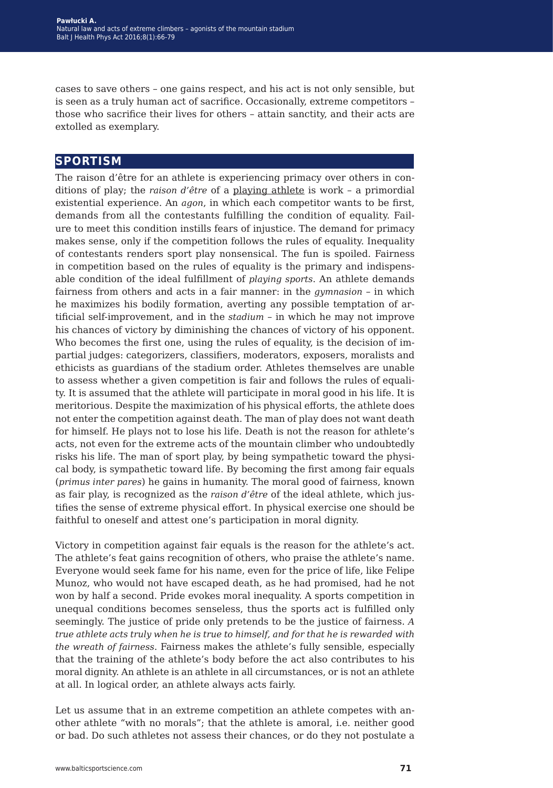cases to save others – one gains respect, and his act is not only sensible, but is seen as a truly human act of sacrifice. Occasionally, extreme competitors – those who sacrifice their lives for others – attain sanctity, and their acts are extolled as exemplary.

#### **sportism**

The raison d'être for an athlete is experiencing primacy over others in conditions of play; the *raison d'être* of a playing athlete is work – a primordial existential experience. An *agon*, in which each competitor wants to be first, demands from all the contestants fulfilling the condition of equality. Failure to meet this condition instills fears of injustice. The demand for primacy makes sense, only if the competition follows the rules of equality. Inequality of contestants renders sport play nonsensical. The fun is spoiled. Fairness in competition based on the rules of equality is the primary and indispensable condition of the ideal fulfillment of *playing sports*. An athlete demands fairness from others and acts in a fair manner: in the *gymnasion* – in which he maximizes his bodily formation, averting any possible temptation of artificial self-improvement, and in the *stadium* – in which he may not improve his chances of victory by diminishing the chances of victory of his opponent. Who becomes the first one, using the rules of equality, is the decision of impartial judges: categorizers, classifiers, moderators, exposers, moralists and ethicists as guardians of the stadium order. Athletes themselves are unable to assess whether a given competition is fair and follows the rules of equality. It is assumed that the athlete will participate in moral good in his life. It is meritorious. Despite the maximization of his physical efforts, the athlete does not enter the competition against death. The man of play does not want death for himself. He plays not to lose his life. Death is not the reason for athlete's acts, not even for the extreme acts of the mountain climber who undoubtedly risks his life. The man of sport play, by being sympathetic toward the physical body, is sympathetic toward life. By becoming the first among fair equals (*primus inter pares*) he gains in humanity. The moral good of fairness, known as fair play, is recognized as the *raison d'être* of the ideal athlete, which justifies the sense of extreme physical effort. In physical exercise one should be faithful to oneself and attest one's participation in moral dignity.

Victory in competition against fair equals is the reason for the athlete's act. The athlete's feat gains recognition of others, who praise the athlete's name. Everyone would seek fame for his name, even for the price of life, like Felipe Munoz, who would not have escaped death, as he had promised, had he not won by half a second. Pride evokes moral inequality. A sports competition in unequal conditions becomes senseless, thus the sports act is fulfilled only seemingly. The justice of pride only pretends to be the justice of fairness. *A true athlete acts truly when he is true to himself, and for that he is rewarded with the wreath of fairness*. Fairness makes the athlete's fully sensible, especially that the training of the athlete's body before the act also contributes to his moral dignity. An athlete is an athlete in all circumstances, or is not an athlete at all. In logical order, an athlete always acts fairly.

Let us assume that in an extreme competition an athlete competes with another athlete "with no morals"; that the athlete is amoral, i.e. neither good or bad. Do such athletes not assess their chances, or do they not postulate a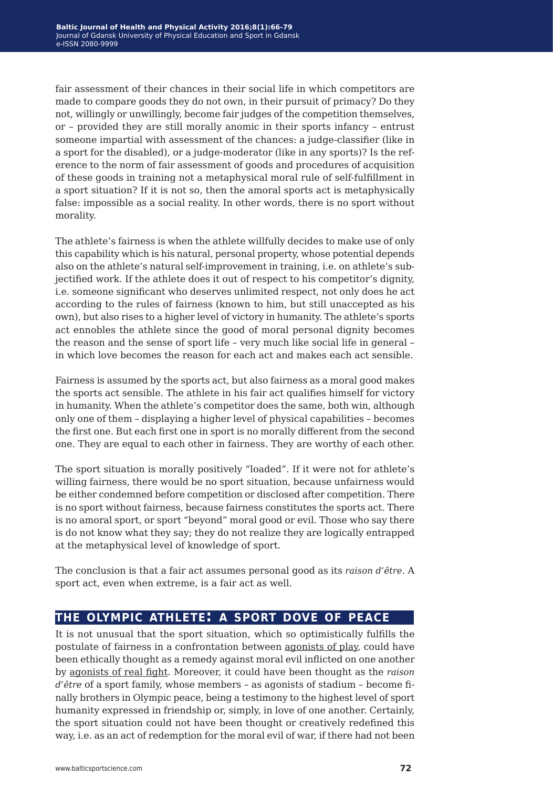fair assessment of their chances in their social life in which competitors are made to compare goods they do not own, in their pursuit of primacy? Do they not, willingly or unwillingly, become fair judges of the competition themselves, or – provided they are still morally anomic in their sports infancy – entrust someone impartial with assessment of the chances: a judge-classifier (like in a sport for the disabled), or a judge-moderator (like in any sports)? Is the reference to the norm of fair assessment of goods and procedures of acquisition of these goods in training not a metaphysical moral rule of self-fulfillment in a sport situation? If it is not so, then the amoral sports act is metaphysically false: impossible as a social reality. In other words, there is no sport without morality.

The athlete's fairness is when the athlete willfully decides to make use of only this capability which is his natural, personal property, whose potential depends also on the athlete's natural self-improvement in training, i.e. on athlete's subjectified work. If the athlete does it out of respect to his competitor's dignity, i.e. someone significant who deserves unlimited respect, not only does he act according to the rules of fairness (known to him, but still unaccepted as his own), but also rises to a higher level of victory in humanity. The athlete's sports act ennobles the athlete since the good of moral personal dignity becomes the reason and the sense of sport life – very much like social life in general – in which love becomes the reason for each act and makes each act sensible.

Fairness is assumed by the sports act, but also fairness as a moral good makes the sports act sensible. The athlete in his fair act qualifies himself for victory in humanity. When the athlete's competitor does the same, both win, although only one of them – displaying a higher level of physical capabilities – becomes the first one. But each first one in sport is no morally different from the second one. They are equal to each other in fairness. They are worthy of each other.

The sport situation is morally positively "loaded". If it were not for athlete's willing fairness, there would be no sport situation, because unfairness would be either condemned before competition or disclosed after competition. There is no sport without fairness, because fairness constitutes the sports act. There is no amoral sport, or sport "beyond" moral good or evil. Those who say there is do not know what they say; they do not realize they are logically entrapped at the metaphysical level of knowledge of sport.

The conclusion is that a fair act assumes personal good as its *raison d'être*. A sport act, even when extreme, is a fair act as well.

## **the olympic athlete: a sport dove of peace**

It is not unusual that the sport situation, which so optimistically fulfills the postulate of fairness in a confrontation between agonists of play, could have been ethically thought as a remedy against moral evil inflicted on one another by agonists of real fight. Moreover, it could have been thought as the *raison d'être* of a sport family, whose members – as agonists of stadium – become finally brothers in Olympic peace, being a testimony to the highest level of sport humanity expressed in friendship or, simply, in love of one another. Certainly, the sport situation could not have been thought or creatively redefined this way, i.e. as an act of redemption for the moral evil of war, if there had not been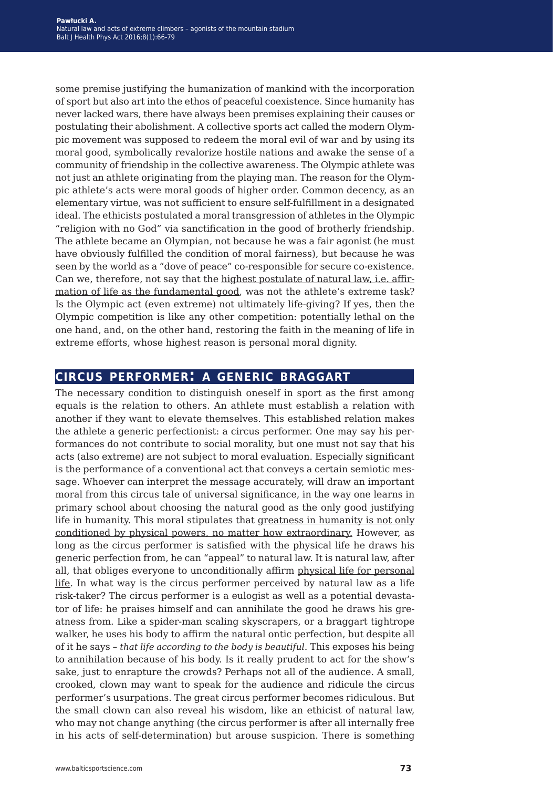some premise justifying the humanization of mankind with the incorporation of sport but also art into the ethos of peaceful coexistence. Since humanity has never lacked wars, there have always been premises explaining their causes or postulating their abolishment. A collective sports act called the modern Olympic movement was supposed to redeem the moral evil of war and by using its moral good, symbolically revalorize hostile nations and awake the sense of a community of friendship in the collective awareness. The Olympic athlete was not just an athlete originating from the playing man. The reason for the Olympic athlete's acts were moral goods of higher order. Common decency, as an elementary virtue, was not sufficient to ensure self-fulfillment in a designated ideal. The ethicists postulated a moral transgression of athletes in the Olympic "religion with no God" via sanctification in the good of brotherly friendship. The athlete became an Olympian, not because he was a fair agonist (he must have obviously fulfilled the condition of moral fairness), but because he was seen by the world as a "dove of peace" co-responsible for secure co-existence. Can we, therefore, not say that the highest postulate of natural law, i.e. affirmation of life as the fundamental good, was not the athlete's extreme task? Is the Olympic act (even extreme) not ultimately life-giving? If yes, then the Olympic competition is like any other competition: potentially lethal on the one hand, and, on the other hand, restoring the faith in the meaning of life in extreme efforts, whose highest reason is personal moral dignity.

## **circus performer: a generic braggart**

The necessary condition to distinguish oneself in sport as the first among equals is the relation to others. An athlete must establish a relation with another if they want to elevate themselves. This established relation makes the athlete a generic perfectionist: a circus performer. One may say his performances do not contribute to social morality, but one must not say that his acts (also extreme) are not subject to moral evaluation. Especially significant is the performance of a conventional act that conveys a certain semiotic message. Whoever can interpret the message accurately, will draw an important moral from this circus tale of universal significance, in the way one learns in primary school about choosing the natural good as the only good justifying life in humanity. This moral stipulates that greatness in humanity is not only conditioned by physical powers, no matter how extraordinary. However, as long as the circus performer is satisfied with the physical life he draws his generic perfection from, he can "appeal" to natural law. It is natural law, after all, that obliges everyone to unconditionally affirm physical life for personal life. In what way is the circus performer perceived by natural law as a life risk-taker? The circus performer is a eulogist as well as a potential devastator of life: he praises himself and can annihilate the good he draws his greatness from. Like a spider-man scaling skyscrapers, or a braggart tightrope walker, he uses his body to affirm the natural ontic perfection, but despite all of it he says – *that life according to the body is beautiful*. This exposes his being to annihilation because of his body. Is it really prudent to act for the show's sake, just to enrapture the crowds? Perhaps not all of the audience. A small, crooked, clown may want to speak for the audience and ridicule the circus performer's usurpations. The great circus performer becomes ridiculous. But the small clown can also reveal his wisdom, like an ethicist of natural law, who may not change anything (the circus performer is after all internally free in his acts of self-determination) but arouse suspicion. There is something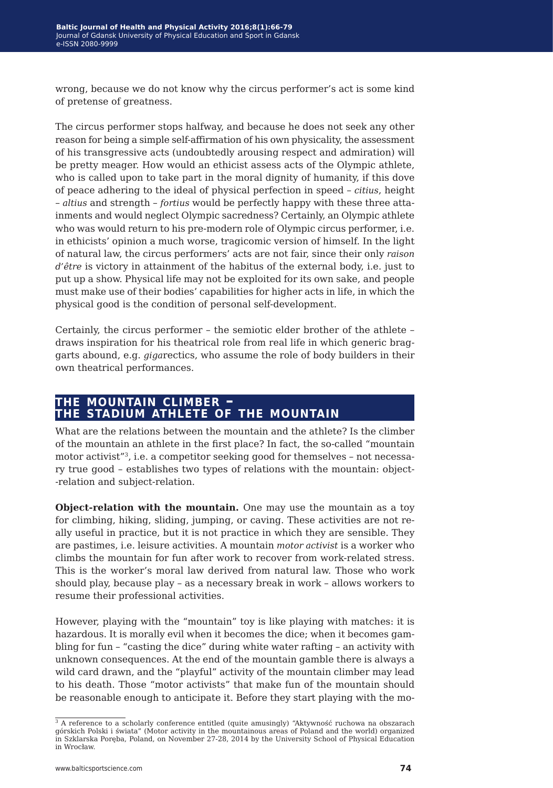wrong, because we do not know why the circus performer's act is some kind of pretense of greatness.

The circus performer stops halfway, and because he does not seek any other reason for being a simple self-affirmation of his own physicality, the assessment of his transgressive acts (undoubtedly arousing respect and admiration) will be pretty meager. How would an ethicist assess acts of the Olympic athlete, who is called upon to take part in the moral dignity of humanity, if this dove of peace adhering to the ideal of physical perfection in speed – *citius*, height – *altius* and strength – *fortius* would be perfectly happy with these three attainments and would neglect Olympic sacredness? Certainly, an Olympic athlete who was would return to his pre-modern role of Olympic circus performer, i.e. in ethicists' opinion a much worse, tragicomic version of himself. In the light of natural law, the circus performers' acts are not fair, since their only *raison d'être* is victory in attainment of the habitus of the external body, i.e. just to put up a show. Physical life may not be exploited for its own sake, and people must make use of their bodies' capabilities for higher acts in life, in which the physical good is the condition of personal self-development.

Certainly, the circus performer – the semiotic elder brother of the athlete – draws inspiration for his theatrical role from real life in which generic braggarts abound, e.g. *giga*rectics, who assume the role of body builders in their own theatrical performances.

# **the mountain climber – the stadium athlete of the mountain**

What are the relations between the mountain and the athlete? Is the climber of the mountain an athlete in the first place? In fact, the so-called "mountain motor activist"3, i.e. a competitor seeking good for themselves – not necessary true good – establishes two types of relations with the mountain: object- -relation and subject-relation.

**Object-relation with the mountain.** One may use the mountain as a toy for climbing, hiking, sliding, jumping, or caving. These activities are not really useful in practice, but it is not practice in which they are sensible. They are pastimes, i.e. leisure activities. A mountain *motor activist* is a worker who climbs the mountain for fun after work to recover from work-related stress. This is the worker's moral law derived from natural law. Those who work should play, because play – as a necessary break in work – allows workers to resume their professional activities.

However, playing with the "mountain" toy is like playing with matches: it is hazardous. It is morally evil when it becomes the dice; when it becomes gambling for fun – "casting the dice" during white water rafting – an activity with unknown consequences. At the end of the mountain gamble there is always a wild card drawn, and the "playful" activity of the mountain climber may lead to his death. Those "motor activists" that make fun of the mountain should be reasonable enough to anticipate it. Before they start playing with the mo-

<sup>&</sup>lt;sup>3</sup> A reference to a scholarly conference entitled (quite amusingly) "Aktywność ruchowa na obszarach górskich Polski i świata" (Motor activity in the mountainous areas of Poland and the world) organized in Szklarska Poręba, Poland, on November 27-28, 2014 by the University School of Physical Education in Wrocław.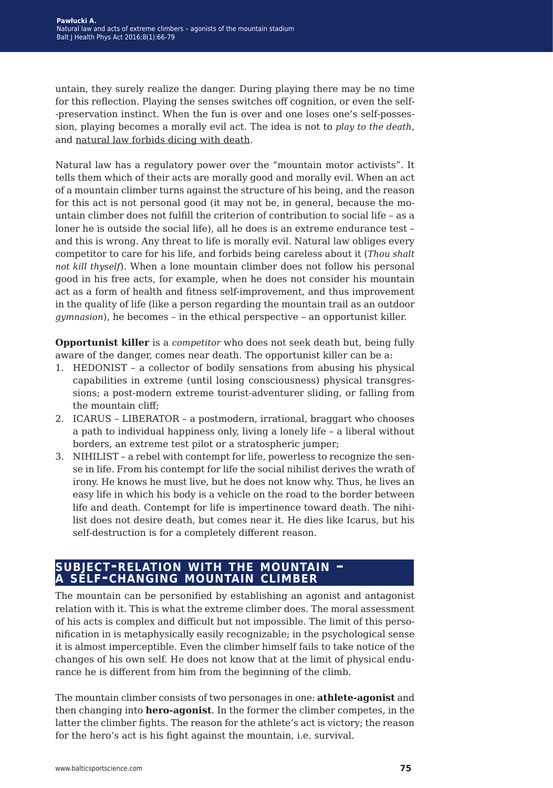untain, they surely realize the danger. During playing there may be no time for this reflection. Playing the senses switches off cognition, or even the self- -preservation instinct. When the fun is over and one loses one's self-possession, playing becomes a morally evil act. The idea is not to *play to the death*, and natural law forbids dicing with death.

Natural law has a regulatory power over the "mountain motor activists". It tells them which of their acts are morally good and morally evil. When an act of a mountain climber turns against the structure of his being, and the reason for this act is not personal good (it may not be, in general, because the mountain climber does not fulfill the criterion of contribution to social life – as a loner he is outside the social life), all he does is an extreme endurance test – and this is wrong. Any threat to life is morally evil. Natural law obliges every competitor to care for his life, and forbids being careless about it (*Thou shalt not kill thyself*). When a lone mountain climber does not follow his personal good in his free acts, for example, when he does not consider his mountain act as a form of health and fitness self-improvement, and thus improvement in the quality of life (like a person regarding the mountain trail as an outdoor *gymnasion*), he becomes – in the ethical perspective – an opportunist killer.

**Opportunist killer** is a *competitor* who does not seek death but, being fully aware of the danger, comes near death. The opportunist killer can be a:

- 1. HEDONIST a collector of bodily sensations from abusing his physical capabilities in extreme (until losing consciousness) physical transgressions; a post-modern extreme tourist-adventurer sliding, or falling from the mountain cliff;
- 2. ICARUS LIBERATOR a postmodern, irrational, braggart who chooses a path to individual happiness only, living a lonely life – a liberal without borders, an extreme test pilot or a stratospheric jumper;
- 3. NIHILIST a rebel with contempt for life, powerless to recognize the sense in life. From his contempt for life the social nihilist derives the wrath of irony. He knows he must live, but he does not know why. Thus, he lives an easy life in which his body is a vehicle on the road to the border between life and death. Contempt for life is impertinence toward death. The nihilist does not desire death, but comes near it. He dies like Icarus, but his self-destruction is for a completely different reason.

#### **subject-relation with the mountain – <sup>a</sup> self-changing mountain climber**

The mountain can be personified by establishing an agonist and antagonist relation with it. This is what the extreme climber does. The moral assessment of his acts is complex and difficult but not impossible. The limit of this personification in is metaphysically easily recognizable; in the psychological sense it is almost imperceptible. Even the climber himself fails to take notice of the changes of his own self. He does not know that at the limit of physical endurance he is different from him from the beginning of the climb.

The mountain climber consists of two personages in one: **athlete-agonist** and then changing into **hero-agonist**. In the former the climber competes, in the latter the climber fights. The reason for the athlete's act is victory; the reason for the hero's act is his fight against the mountain, i.e. survival.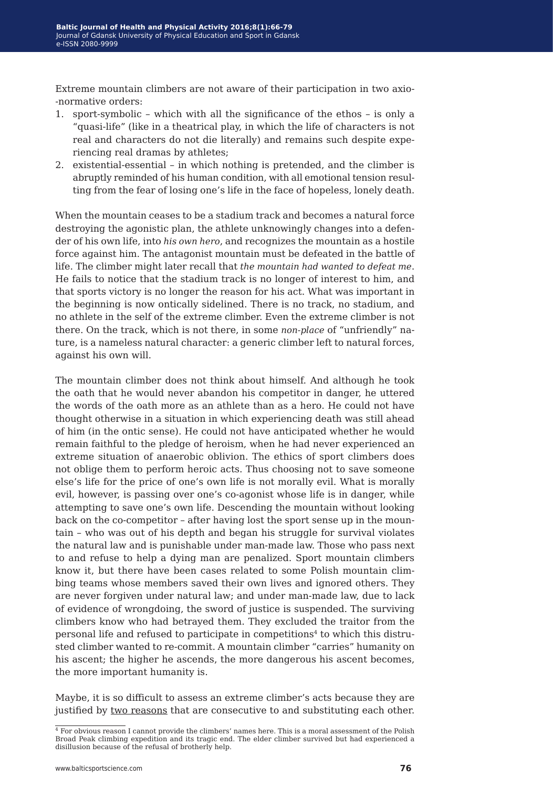Extreme mountain climbers are not aware of their participation in two axio- -normative orders:

- 1. sport-symbolic which with all the significance of the ethos is only a "quasi-life" (like in a theatrical play, in which the life of characters is not real and characters do not die literally) and remains such despite experiencing real dramas by athletes;
- 2. existential-essential in which nothing is pretended, and the climber is abruptly reminded of his human condition, with all emotional tension resulting from the fear of losing one's life in the face of hopeless, lonely death.

When the mountain ceases to be a stadium track and becomes a natural force destroying the agonistic plan, the athlete unknowingly changes into a defender of his own life, into *his own hero*, and recognizes the mountain as a hostile force against him. The antagonist mountain must be defeated in the battle of life. The climber might later recall that *the mountain had wanted to defeat me*. He fails to notice that the stadium track is no longer of interest to him, and that sports victory is no longer the reason for his act. What was important in the beginning is now ontically sidelined. There is no track, no stadium, and no athlete in the self of the extreme climber. Even the extreme climber is not there. On the track, which is not there, in some *non-place* of "unfriendly" nature, is a nameless natural character: a generic climber left to natural forces, against his own will.

The mountain climber does not think about himself. And although he took the oath that he would never abandon his competitor in danger, he uttered the words of the oath more as an athlete than as a hero. He could not have thought otherwise in a situation in which experiencing death was still ahead of him (in the ontic sense). He could not have anticipated whether he would remain faithful to the pledge of heroism, when he had never experienced an extreme situation of anaerobic oblivion. The ethics of sport climbers does not oblige them to perform heroic acts. Thus choosing not to save someone else's life for the price of one's own life is not morally evil. What is morally evil, however, is passing over one's co-agonist whose life is in danger, while attempting to save one's own life. Descending the mountain without looking back on the co-competitor – after having lost the sport sense up in the mountain – who was out of his depth and began his struggle for survival violates the natural law and is punishable under man-made law. Those who pass next to and refuse to help a dying man are penalized. Sport mountain climbers know it, but there have been cases related to some Polish mountain climbing teams whose members saved their own lives and ignored others. They are never forgiven under natural law; and under man-made law, due to lack of evidence of wrongdoing, the sword of justice is suspended. The surviving climbers know who had betrayed them. They excluded the traitor from the personal life and refused to participate in competitions<sup>4</sup> to which this distrusted climber wanted to re-commit. A mountain climber "carries" humanity on his ascent; the higher he ascends, the more dangerous his ascent becomes, the more important humanity is.

Maybe, it is so difficult to assess an extreme climber's acts because they are justified by two reasons that are consecutive to and substituting each other.

 $4$  For obvious reason I cannot provide the climbers' names here. This is a moral assessment of the Polish Broad Peak climbing expedition and its tragic end. The elder climber survived but had experienced a disillusion because of the refusal of brotherly help.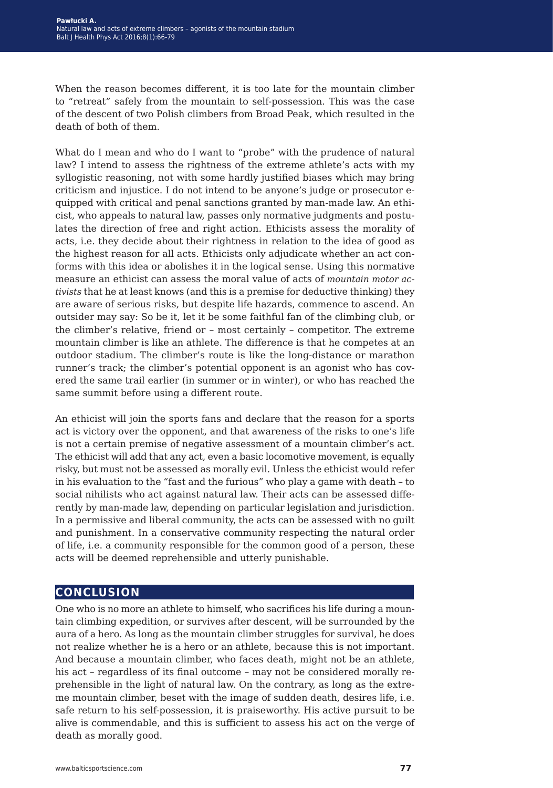When the reason becomes different, it is too late for the mountain climber to "retreat" safely from the mountain to self-possession. This was the case of the descent of two Polish climbers from Broad Peak, which resulted in the death of both of them.

What do I mean and who do I want to "probe" with the prudence of natural law? I intend to assess the rightness of the extreme athlete's acts with my syllogistic reasoning, not with some hardly justified biases which may bring criticism and injustice. I do not intend to be anyone's judge or prosecutor equipped with critical and penal sanctions granted by man-made law. An ethicist, who appeals to natural law, passes only normative judgments and postulates the direction of free and right action. Ethicists assess the morality of acts, i.e. they decide about their rightness in relation to the idea of good as the highest reason for all acts. Ethicists only adjudicate whether an act conforms with this idea or abolishes it in the logical sense. Using this normative measure an ethicist can assess the moral value of acts of *mountain motor activists* that he at least knows (and this is a premise for deductive thinking) they are aware of serious risks, but despite life hazards, commence to ascend. An outsider may say: So be it, let it be some faithful fan of the climbing club, or the climber's relative, friend or – most certainly – competitor. The extreme mountain climber is like an athlete. The difference is that he competes at an outdoor stadium. The climber's route is like the long-distance or marathon runner's track; the climber's potential opponent is an agonist who has covered the same trail earlier (in summer or in winter), or who has reached the same summit before using a different route.

An ethicist will join the sports fans and declare that the reason for a sports act is victory over the opponent, and that awareness of the risks to one's life is not a certain premise of negative assessment of a mountain climber's act. The ethicist will add that any act, even a basic locomotive movement, is equally risky, but must not be assessed as morally evil. Unless the ethicist would refer in his evaluation to the "fast and the furious" who play a game with death – to social nihilists who act against natural law. Their acts can be assessed differently by man-made law, depending on particular legislation and jurisdiction. In a permissive and liberal community, the acts can be assessed with no guilt and punishment. In a conservative community respecting the natural order of life, i.e. a community responsible for the common good of a person, these acts will be deemed reprehensible and utterly punishable.

#### **conclusion**

One who is no more an athlete to himself, who sacrifices his life during a mountain climbing expedition, or survives after descent, will be surrounded by the aura of a hero. As long as the mountain climber struggles for survival, he does not realize whether he is a hero or an athlete, because this is not important. And because a mountain climber, who faces death, might not be an athlete, his act – regardless of its final outcome – may not be considered morally reprehensible in the light of natural law. On the contrary, as long as the extreme mountain climber, beset with the image of sudden death, desires life, i.e. safe return to his self-possession, it is praiseworthy. His active pursuit to be alive is commendable, and this is sufficient to assess his act on the verge of death as morally good.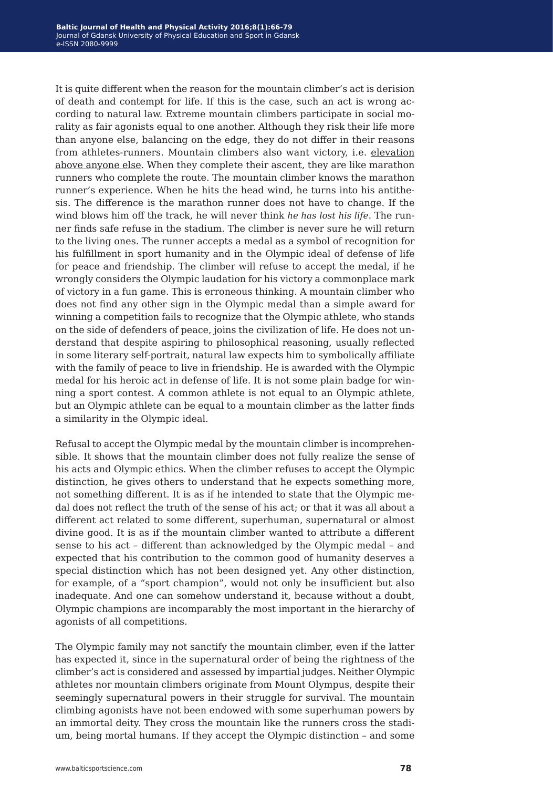It is quite different when the reason for the mountain climber's act is derision of death and contempt for life. If this is the case, such an act is wrong according to natural law. Extreme mountain climbers participate in social morality as fair agonists equal to one another. Although they risk their life more than anyone else, balancing on the edge, they do not differ in their reasons from athletes-runners. Mountain climbers also want victory, i.e. elevation above anyone else. When they complete their ascent, they are like marathon runners who complete the route. The mountain climber knows the marathon runner's experience. When he hits the head wind, he turns into his antithesis. The difference is the marathon runner does not have to change. If the wind blows him off the track, he will never think *he has lost his life*. The runner finds safe refuse in the stadium. The climber is never sure he will return to the living ones. The runner accepts a medal as a symbol of recognition for his fulfillment in sport humanity and in the Olympic ideal of defense of life for peace and friendship. The climber will refuse to accept the medal, if he wrongly considers the Olympic laudation for his victory a commonplace mark of victory in a fun game. This is erroneous thinking. A mountain climber who does not find any other sign in the Olympic medal than a simple award for winning a competition fails to recognize that the Olympic athlete, who stands on the side of defenders of peace, joins the civilization of life. He does not understand that despite aspiring to philosophical reasoning, usually reflected in some literary self-portrait, natural law expects him to symbolically affiliate with the family of peace to live in friendship. He is awarded with the Olympic medal for his heroic act in defense of life. It is not some plain badge for winning a sport contest. A common athlete is not equal to an Olympic athlete, but an Olympic athlete can be equal to a mountain climber as the latter finds a similarity in the Olympic ideal.

Refusal to accept the Olympic medal by the mountain climber is incomprehensible. It shows that the mountain climber does not fully realize the sense of his acts and Olympic ethics. When the climber refuses to accept the Olympic distinction, he gives others to understand that he expects something more, not something different. It is as if he intended to state that the Olympic medal does not reflect the truth of the sense of his act; or that it was all about a different act related to some different, superhuman, supernatural or almost divine good. It is as if the mountain climber wanted to attribute a different sense to his act – different than acknowledged by the Olympic medal – and expected that his contribution to the common good of humanity deserves a special distinction which has not been designed yet. Any other distinction, for example, of a "sport champion", would not only be insufficient but also inadequate. And one can somehow understand it, because without a doubt, Olympic champions are incomparably the most important in the hierarchy of agonists of all competitions.

The Olympic family may not sanctify the mountain climber, even if the latter has expected it, since in the supernatural order of being the rightness of the climber's act is considered and assessed by impartial judges. Neither Olympic athletes nor mountain climbers originate from Mount Olympus, despite their seemingly supernatural powers in their struggle for survival. The mountain climbing agonists have not been endowed with some superhuman powers by an immortal deity. They cross the mountain like the runners cross the stadium, being mortal humans. If they accept the Olympic distinction – and some